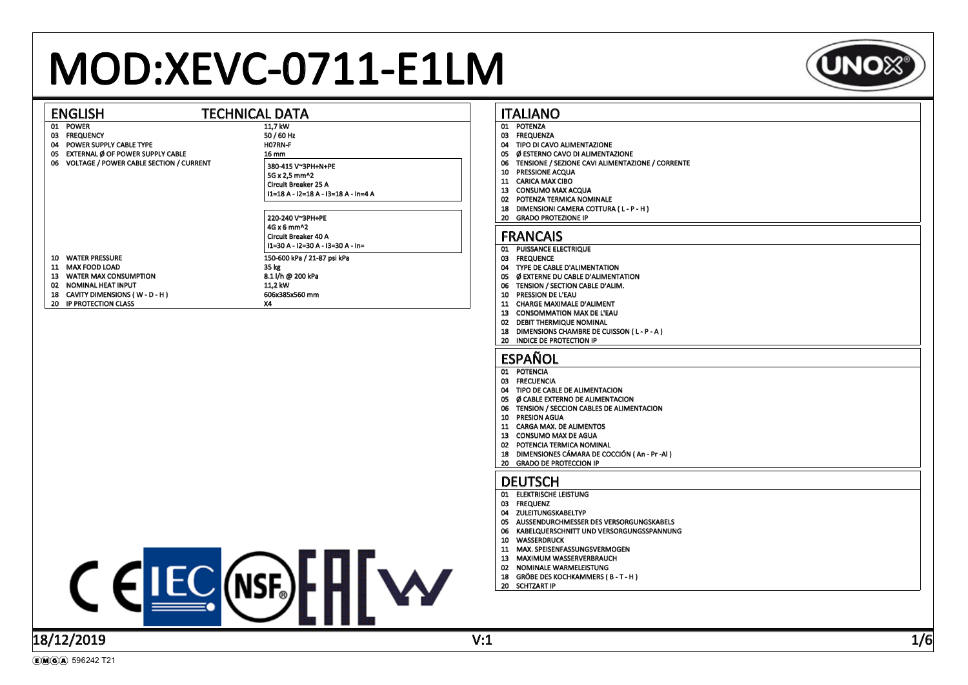# MOD:XEVC-0711-E1LM



| <b>TECHNICAL DATA</b><br><b>ENGLISH</b>                                                                                                                                                                                                                                                                       | <b>ITALIANO</b>                                                                                                                                                                                                                                                                                                                                                  |
|---------------------------------------------------------------------------------------------------------------------------------------------------------------------------------------------------------------------------------------------------------------------------------------------------------------|------------------------------------------------------------------------------------------------------------------------------------------------------------------------------------------------------------------------------------------------------------------------------------------------------------------------------------------------------------------|
| 01 POWER<br>11,7 kW<br>03 FREQUENCY<br>50 / 60 Hz<br>H07RN-F<br>04 POWER SUPPLY CABLE TYPE<br>05 EXTERNAL Ø OF POWER SUPPLY CABLE<br><b>16 mm</b><br>06 VOLTAGE / POWER CABLE SECTION / CURRENT<br>380-415 V~3PH+N+PE<br>5G x 2,5 mm^2<br><b>Circuit Breaker 25 A</b><br>I1=18 A - I2=18 A - I3=18 A - In=4 A | 01 POTENZA<br>03 FREQUENZA<br>04 TIPO DI CAVO ALIMENTAZIONE<br>05 Ø ESTERNO CAVO DI ALIMENTAZIONE<br>06 TENSIONE / SEZIONE CAVI ALIMENTAZIONE / CORRENTE<br>10 PRESSIONE ACQUA<br>11 CARICA MAX CIBO<br>13 CONSUMO MAX ACQUA<br>02 POTENZA TERMICA NOMINALE<br>18 DIMENSIONI CAMERA COTTURA (L-P-H)<br>20 GRADO PROTEZIONE IP                                    |
| 220-240 V~3PH+PE<br>4G x 6 mm^2<br><b>Circuit Breaker 40 A</b><br>I1=30 A - I2=30 A - I3=30 A - In=                                                                                                                                                                                                           | <b>FRANCAIS</b>                                                                                                                                                                                                                                                                                                                                                  |
| 10 WATER PRESSURE<br>150-600 kPa / 21-87 psi kPa<br>11 MAX FOOD LOAD<br>35 kg<br>13 WATER MAX CONSUMPTION<br>8.1 l/h @ 200 kPa<br>02 NOMINAL HEAT INPUT<br>11.2 kW<br>18 CAVITY DIMENSIONS (W-D-H)<br>606x385x560 mm<br>20 IP PROTECTION CLASS<br><b>X4</b>                                                   | 01 PUISSANCE ELECTRIQUE<br>03 FREQUENCE<br>04 TYPE DE CABLE D'ALIMENTATION<br>05 Ø EXTERNE DU CABLE D'ALIMENTATION<br>06 TENSION / SECTION CABLE D'ALIM.<br>10 PRESSION DE L'EAU<br>11 CHARGE MAXIMALE D'ALIMENT<br>13 CONSOMMATION MAX DE L'EAU<br>02 DEBIT THERMIQUE NOMINAL<br>18 DIMENSIONS CHAMBRE DE CUISSON (L-P-A)<br>20 INDICE DE PROTECTION IP         |
|                                                                                                                                                                                                                                                                                                               | <b>ESPAÑOL</b><br>01 POTENCIA<br>03 FRECUENCIA<br>04 TIPO DE CABLE DE ALIMENTACION<br>05 Ø CABLE EXTERNO DE ALIMENTACION<br>06 TENSION / SECCION CABLES DE ALIMENTACION<br>10 PRESION AGUA<br>11 CARGA MAX. DE ALIMENTOS<br>13 CONSUMO MAX DE AGUA<br>02 POTENCIA TERMICA NOMINAL<br>18 DIMENSIONES CÁMARA DE COCCIÓN (An - Pr -AI)<br>20 GRADO DE PROTECCION IP |
|                                                                                                                                                                                                                                                                                                               | <b>DEUTSCH</b><br>01 ELEKTRISCHE LEISTUNG                                                                                                                                                                                                                                                                                                                        |
| $C \in \text{IEC}(\text{NSF})$                                                                                                                                                                                                                                                                                | 03 FREQUENZ<br>04 ZULEITUNGSKABELTYP<br>05 AUSSENDURCHMESSER DES VERSORGUNGSKABELS<br>06 KABELQUERSCHNITT UND VERSORGUNGSSPANNUNG<br>10 WASSERDRUCK<br>11 MAX. SPEISENFASSUNGSVERMOGEN<br>13 MAXIMUM WASSERVERBRAUCH<br>02 NOMINALE WARMELEISTUNG<br>18 GRÖBE DES KOCHKAMMERS (B-T-H)<br>20 SCHTZART IP                                                          |
|                                                                                                                                                                                                                                                                                                               |                                                                                                                                                                                                                                                                                                                                                                  |

### 18/12/2019 V:1 1/6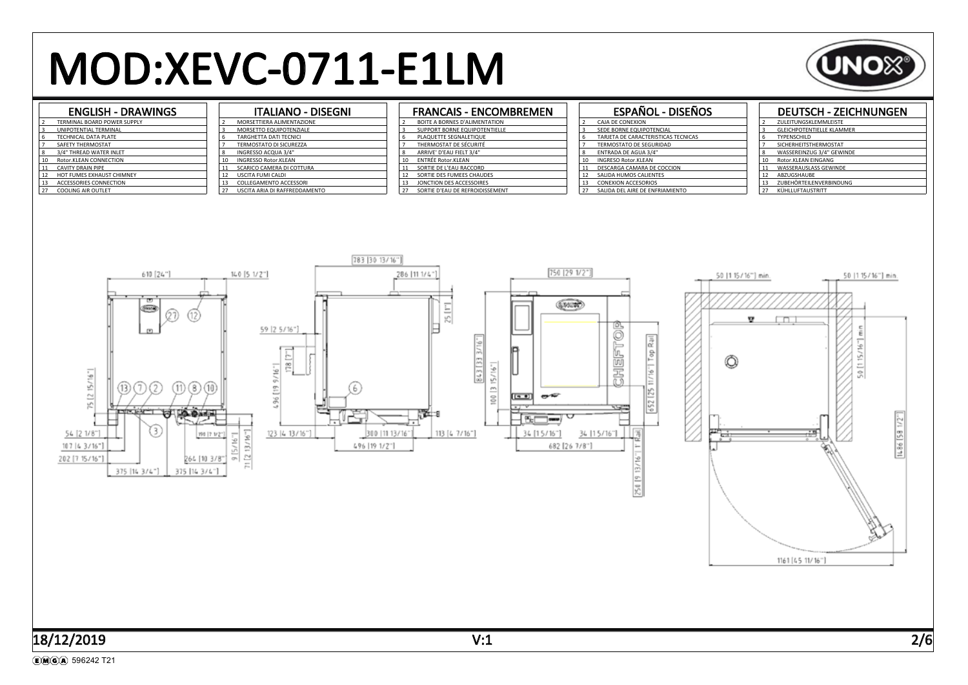# MOD:XEVC-0711-E1LM



#### ENGLISH - DRAWINGS

| 2              | TERMINAL BOARD POWER SUPPLY |
|----------------|-----------------------------|
| 3              | UNIPOTENTIAL TERMINAL       |
| 6              | TECHNICAL DATA PLATE        |
| $\overline{7}$ | SAFETY THERMOSTAT           |
| 8              | 3/4" THREAD WATER INLET     |
| 10             | Rotor.KLEAN CONNECTION      |
| 11             | <b>CAVITY DRAIN PIPE</b>    |
| 12             | HOT FUMES EXHAUST CHIMNEY   |
| 13             | ACCESSORIES CONNECTION      |
| 27             | <b>COOLING AIR OUTLET</b>   |
|                |                             |

#### ITALIANO - DISEGNI MORSETTIERA ALIMENTAZIONE MORSETTO EQUIPOTENZIALE TARGHETTA DATI TECNICI TERMOSTATO DI SICUREZZA INGRESSO ACQUA 3/4" INGRESSO Rotor.KLEAN 11 SCARICO CAMERA DI COTTURA<br>12 USCITA FUMI CALDI 12 USCITA FUMI CALDI COLLEGAMENTO ACCESSORI **22 USCIEL DI MALLA DI RAFFREDDAMENTO**

### FRANCAIS - ENCOMBREMEN

| $\overline{2}$ | BOITE A BORNES D'ALIMENTATION        |
|----------------|--------------------------------------|
| 3              | <b>SUPPORT BORNE EQUIPOTENTIELLE</b> |
| 6              | PLAQUETTE SEGNALETIQUE               |
| $\overline{7}$ | THERMOSTAT DE SÉCURITÉ               |
| $\mathbf{8}$   | ARRIVE' D'EAU FIELT 3/4"             |
| 10             | <b>ENTRÉE Rotor.KLEAN</b>            |
| 11             | SORTIE DE L'EAU RACCORD              |
| 12             | SORTIE DES FUMEES CHAUDES            |
| 13             | JONCTION DES ACCESSOIRES             |
| 27             | SORTIE D'EAU DE REFROIDISSEMENT      |
|                |                                      |

### ESPAÑOL - DISEÑOS

| l 2            | CAJA DE CONEXION                    |
|----------------|-------------------------------------|
| l 3            | SEDE BORNE EQUIPOTENCIAL            |
| 6              | TARJETA DE CARACTERISTICAS TECNICAS |
| $\overline{7}$ | <b>TERMOSTATO DE SEGURIDAD</b>      |
| 8              | <b>ENTRADA DE AGUA 3/4"</b>         |
| 10             | <b>INGRESO Rotor.KLEAN</b>          |
| 11             | DESCARGA CAMARA DE COCCION          |
| 12             | SALIDA HUMOS CALIENTES              |
| 13             | <b>CONEXION ACCESORIOS</b>          |
| i 27           | SALIDA DEL AIRE DE ENFRIAMIENTO     |
|                |                                     |

#### DEUTSCH - ZEICHNUNGEN

|  | $\overline{\phantom{a}}$ | ZULEITUNGSKLEMMLEISTE            |
|--|--------------------------|----------------------------------|
|  | 3                        | <b>GLEICHPOTENTIELLE KLAMMER</b> |
|  | 6                        | TYPENSCHILD                      |
|  |                          | SICHERHEITSTHERMOSTAT            |
|  | 8                        | WASSEREINZUG 3/4" GEWINDE        |
|  | 10                       | Rotor.KLEAN EINGANG              |
|  | 11                       | <b>WASSERAUSLASS GEWINDE</b>     |
|  | 12                       | ABZUGSHAUBE                      |
|  | 13                       | ZUBEHÖRTEILENVERBINDUNG          |
|  | 27                       | KÜHLLUFTAUSTRITT                 |
|  |                          |                                  |

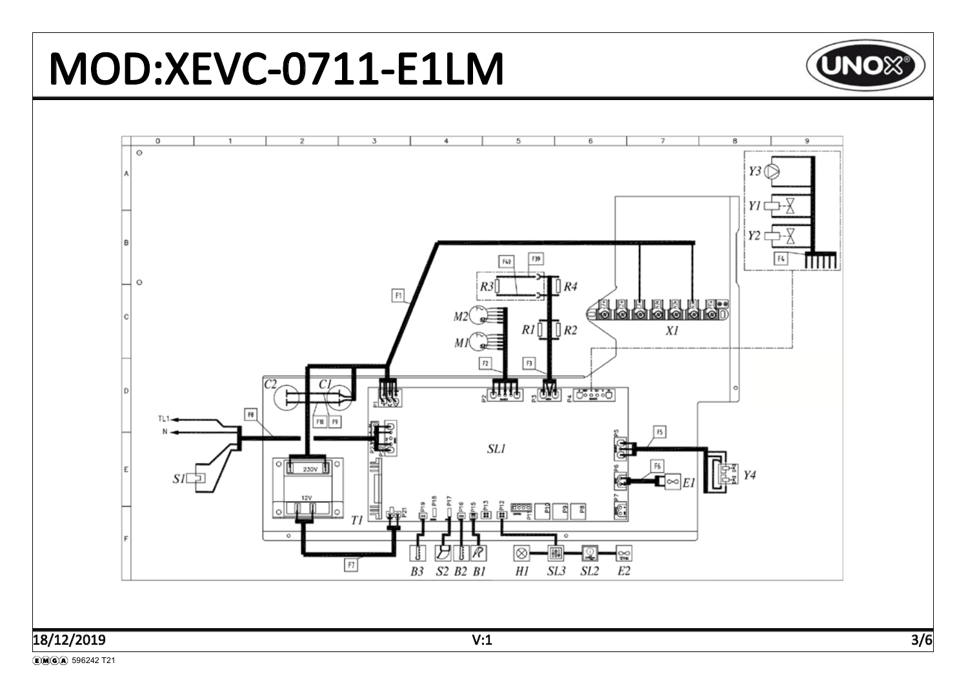

# 18/12/2019 V:1 3/6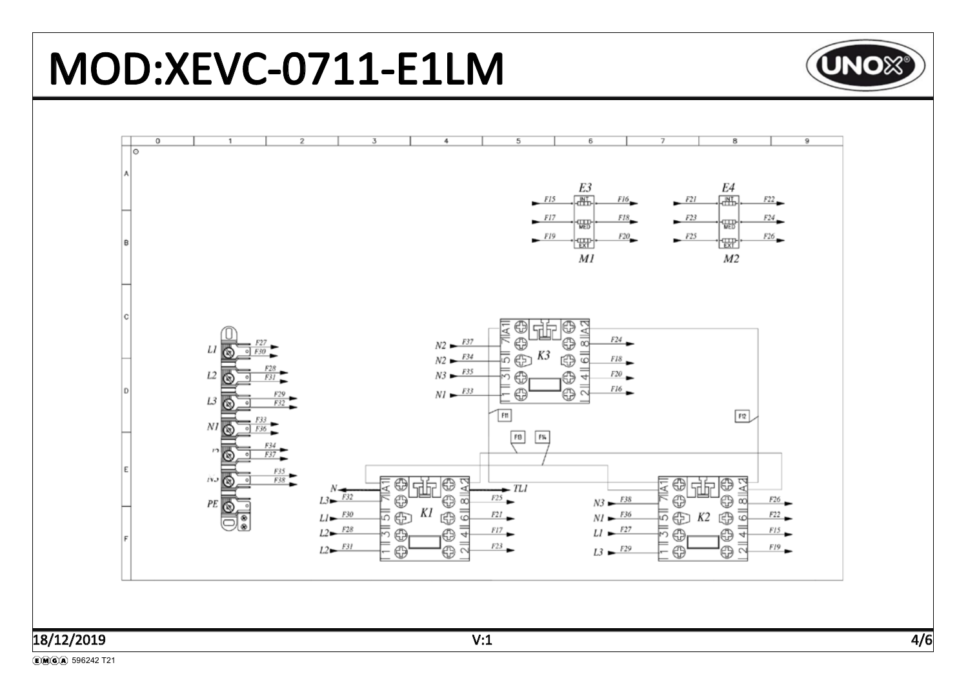#### MOD:XEVC-0711-E1LM **UNO**X®  $\overline{0}$  $\overline{5}$  $\overline{6}$  $\overline{9}$  $\overline{2}$  $\overline{3}$ 4  $\overline{ }$ 8 ٦o E3 E4  $\sqrt{N+1}$  $\sqrt{N_{\rm{H}}^2}$  $F15$  $F16$  $F21$  $F22$  $FI7$  $F23$  $FIS$  $F24$ ₩₩ ₩  $FI9$  $F25$  $F20$  $F26$ ŀ₩ ŀѭŀ İR  $MI$  $M<sub>2</sub>$  $\circledcirc$ ⊕ 생변 6 || 8 || A 2 ₹  $N2 - F37$  $^{\circ}$  $F24$ ⊕  $LI$  $E30$ K3  $N2 - F^{34}$ 5 GB 65  $F18$  $N3 - F35$  $\frac{4}{3}$ ķ.  $L2$ ⊕ ⊕ F<sub>20</sub>  $F3I$  $\overline{\overline{2}}$  $NI \rightarrow F33$ FI6.  $\bigoplus$ ⊕  $L3$  $F32$  $FI2$  $\mathsf{F}\mathfrak{n}$  $N I$  $FB$ F%  $\mathbf{r}$ G  $F37$ .  $\frac{F35}{F38}$ 心面 0<br>O 0<br>0  $\bigcirc$  $8$  || $A$  $\overline{A}$ 6<br>6 생世 出出  $\frac{N}{L^3}$  $-TLI$ ∛  $F25$  $N3 - F38$ க  $\overline{\infty}$  $F26$  $PE$   $\overline{\odot}$  $\overline{\overline{5}}\oplus K2$ Κl  $\overline{5}$ 딃  $LI - F30$  $NI \rightarrow F36$ 5 ⊕ ⊕  $F2I$ GB  $F22$  $L2 - F28$  $F17$  $LI \rightarrow$ F27  $F15$  $\oplus$ ⊕ ⊕ ⊕ 4  $L2 - F3I$  $=$  $F19$  $F23$ '@  $L3$   $\rightarrow$   $F29$ ⊕  $\oplus$ ⊕  $\sim$

## 18/12/2019

(E) M(G) A 596242 T21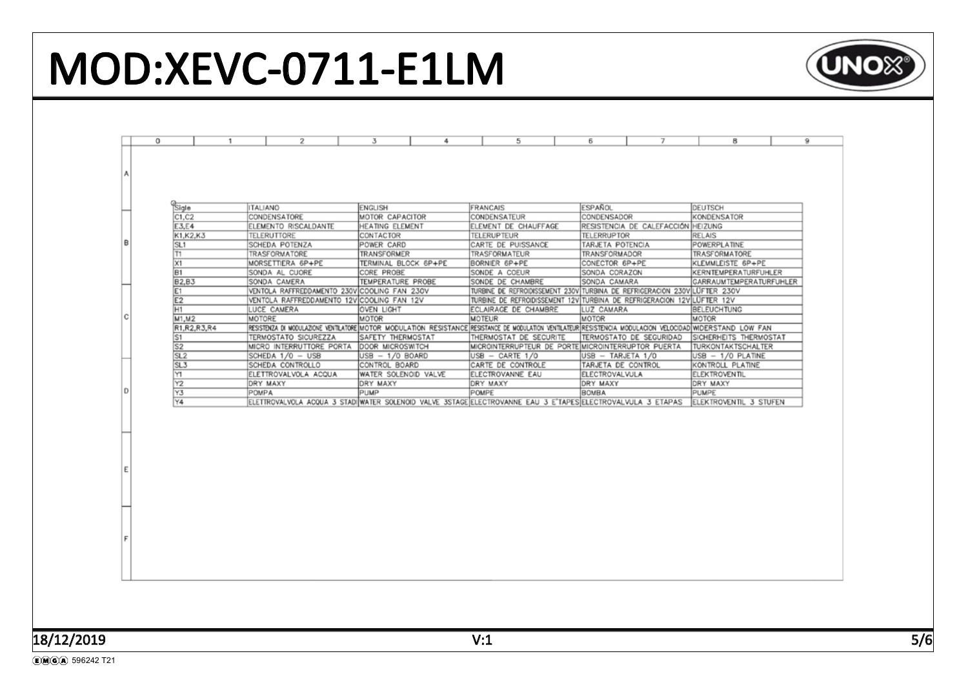# MOD:XEVC-0711-E1LM

| 0<br>1                                   | 2                                                                   | 3<br>4                                                                                           | 5                                                                                                                                                                                   | 7<br>6                                                                            | 8<br>9                                                                                                                                                                                                                                                                                                                                                                                                                                                                                                                                                                         |
|------------------------------------------|---------------------------------------------------------------------|--------------------------------------------------------------------------------------------------|-------------------------------------------------------------------------------------------------------------------------------------------------------------------------------------|-----------------------------------------------------------------------------------|--------------------------------------------------------------------------------------------------------------------------------------------------------------------------------------------------------------------------------------------------------------------------------------------------------------------------------------------------------------------------------------------------------------------------------------------------------------------------------------------------------------------------------------------------------------------------------|
|                                          |                                                                     |                                                                                                  |                                                                                                                                                                                     |                                                                                   |                                                                                                                                                                                                                                                                                                                                                                                                                                                                                                                                                                                |
| Sigle<br>C1, C2                          | <b>ITALIANO</b><br>CONDENSATORE                                     | <b>ENGLISH</b><br>MOTOR CAPACITOR                                                                | FRANCAIS<br>CONDENSATEUR                                                                                                                                                            | ESPAÑOL<br>CONDENSADOR                                                            | DEUTSCH<br>KONDENSATOR                                                                                                                                                                                                                                                                                                                                                                                                                                                                                                                                                         |
| K1, K2, K3<br>SL <sub>1</sub>            | <b>TELERUTTORE</b><br>SCHEDA POTENZA                                | CONTACTOR<br>POWER CARD                                                                          | <b>TELERUPTEUR</b><br>CARTE DE PUISSANCE                                                                                                                                            | <b>TELERRUPTOR</b><br>TARJETA POTENCIA                                            | <b>RELAIS</b><br>POWERPLATINE<br>TRASFORMATORE                                                                                                                                                                                                                                                                                                                                                                                                                                                                                                                                 |
| X1<br>B1                                 | MORSETTIERA 6P+PE<br>SONDA AL CUORE                                 | TERMINAL BLOCK 6P+PE<br>CORE PROBE                                                               | BORNIER 6P+PE<br>SONDE A COEUR                                                                                                                                                      | CONECTOR 6P+PE<br>SONDA CORAZON                                                   | KLEMMLEISTE 6P+PE<br>KERNTEMPERATURFUHLER<br>GARRAUMTEMPERATURFUHLER                                                                                                                                                                                                                                                                                                                                                                                                                                                                                                           |
| E1<br>E <sub>2</sub>                     |                                                                     |                                                                                                  |                                                                                                                                                                                     |                                                                                   | BELEUCHTUNG                                                                                                                                                                                                                                                                                                                                                                                                                                                                                                                                                                    |
| M1, M2<br>R1, R2, R3, R4<br>S1           | MOTORE<br>TERMOSTATO SICUREZZA                                      | MOTOR<br>SAFETY THERMOSTAT                                                                       | <b>MOTEUR</b><br>THERMOSTAT DE SECURITE                                                                                                                                             | MOTOR<br>TERMOSTATO DE SEGURIDAD                                                  | MOTOR<br>SICHERHEITS THERMOSTAT<br><b>TURKONTAKTSCHALTER</b>                                                                                                                                                                                                                                                                                                                                                                                                                                                                                                                   |
| SL <sub>2</sub><br>SL <sub>3</sub><br>Y1 | SCHEDA 1/0 - USB<br>SCHEDA CONTROLLO<br>ELETTROVALVOLA ACQUA        | USB - 1/0 BOARD<br>CONTROL BOARD<br>WATER SOLENOID VALVE                                         | USB - CARTE 1/0<br>CARTE DE CONTROLE<br>ELECTROVANNE EAU                                                                                                                            | USB - TARJETA 1/0<br>TARJETA DE CONTROL<br>ELECTROVALVULA                         | USB - 1/0 PLATINE<br>KONTROLL PLATINE<br><b>ELEKTROVENTIL</b>                                                                                                                                                                                                                                                                                                                                                                                                                                                                                                                  |
| Y <sub>2</sub><br>Y3                     | DRY MAXY<br>POMPA                                                   | DRY MAXY<br>PUMP                                                                                 | DRY MAXY<br>POMPE                                                                                                                                                                   | DRY MAXY<br><b>BOMBA</b>                                                          | DRY MAXY<br>PUMPE<br>ELEKTROVENTIL 3 STUFEN                                                                                                                                                                                                                                                                                                                                                                                                                                                                                                                                    |
|                                          |                                                                     |                                                                                                  |                                                                                                                                                                                     |                                                                                   |                                                                                                                                                                                                                                                                                                                                                                                                                                                                                                                                                                                |
|                                          |                                                                     |                                                                                                  |                                                                                                                                                                                     |                                                                                   |                                                                                                                                                                                                                                                                                                                                                                                                                                                                                                                                                                                |
|                                          |                                                                     |                                                                                                  |                                                                                                                                                                                     |                                                                                   |                                                                                                                                                                                                                                                                                                                                                                                                                                                                                                                                                                                |
|                                          | E3,E4<br>T1<br><b>B2,B3</b><br>H1<br>$\overline{\mathsf{s2}}$<br>Y4 | ELEMENTO RISCALDANTE<br>TRASFORMATORE<br>SONDA CAMERA<br>LUCE CAMERA<br>MICRO INTERRUTTORE PORTA | HEATING ELEMENT<br>TRANSFORMER<br>TEMPERATURE PROBE<br>VENTOLA RAFFREDDAMENTO 230V COOLING FAN 230V<br>VENTOLA RAFFREDDAMENTO 12VICOOLING FAN 12V<br>OVEN LIGHT<br>DOOR MICROSWITCH | ELEMENT DE CHAUFFAGE<br>TRASFORMATEUR<br>SONDE DE CHAMBRE<br>ECLAIRAGE DE CHAMBRE | RESISTENCIA DE CALEFACCIÓN HEIZUNG<br>TRANSFORMADOR<br>SONDA CAMARA<br>TURBINE DE REFROIDISSEMENT 230V TURBINA DE REFRIGERACION 230V LUFTER 230V<br>TURBINE DE REFROIDISSEMENT 12V TURBINA DE REFRIGERACION 12V LUFTER 12V<br>LUZ CAMARA<br>RESISTENZA DI MODULAZIONE VENTILATORE ÎNIOTOR MODULATION RESISTANCE ÎRESISTANCE DE MODULATION VENTILATEUR RESISTENCIA MODULACION VELOCIDAD WIDERSTAND LOW FAN<br>MICROINTERRUPTEUR DE PORTE MICROINTERRUPTOR PUERTA<br>ELETTROVALVOLA ACQUA 3 STADI WATER SOLENOID VALVE 3STAGE ELECTROVANNE EAU 3 E'TAPES ELECTROVALVULA 3 ETAPAS |